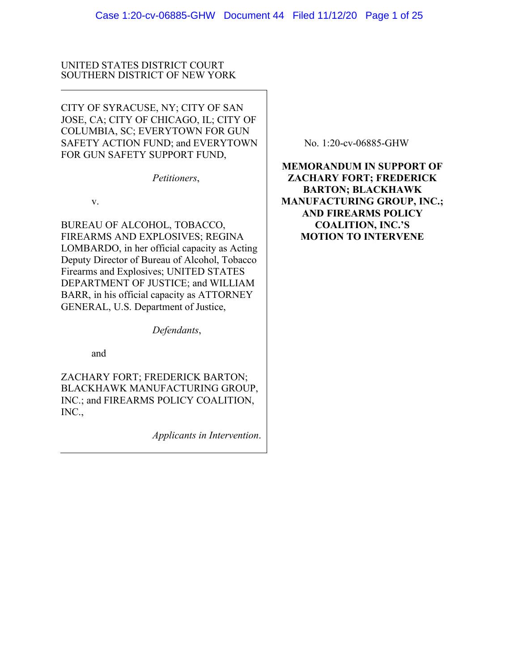# UNITED STATES DISTRICT COURT SOUTHERN DISTRICT OF NEW YORK

CITY OF SYRACUSE, NY; CITY OF SAN JOSE, CA; CITY OF CHICAGO, IL; CITY OF COLUMBIA, SC; EVERYTOWN FOR GUN SAFETY ACTION FUND; and EVERYTOWN FOR GUN SAFETY SUPPORT FUND,

*Petitioners*,

v.

BUREAU OF ALCOHOL, TOBACCO, FIREARMS AND EXPLOSIVES; REGINA LOMBARDO, in her official capacity as Acting Deputy Director of Bureau of Alcohol, Tobacco Firearms and Explosives; UNITED STATES DEPARTMENT OF JUSTICE; and WILLIAM BARR, in his official capacity as ATTORNEY GENERAL, U.S. Department of Justice,

*Defendants*,

and

ZACHARY FORT; FREDERICK BARTON; BLACKHAWK MANUFACTURING GROUP, INC.; and FIREARMS POLICY COALITION, INC.,

*Applicants in Intervention*.

No. 1:20-cv-06885-GHW

**MEMORANDUM IN SUPPORT OF ZACHARY FORT; FREDERICK BARTON; BLACKHAWK MANUFACTURING GROUP, INC.; AND FIREARMS POLICY COALITION, INC.'S MOTION TO INTERVENE**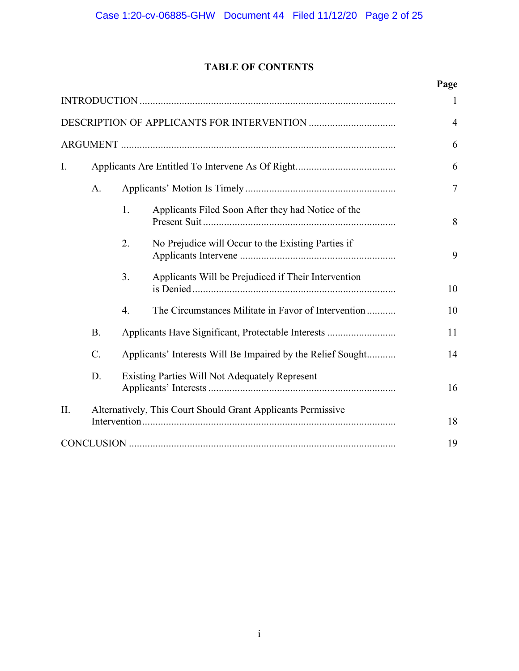# **TABLE OF CONTENTS**

|             |                                                              |                                                             |                                                     | Page   |
|-------------|--------------------------------------------------------------|-------------------------------------------------------------|-----------------------------------------------------|--------|
|             |                                                              |                                                             |                                                     |        |
|             |                                                              |                                                             |                                                     |        |
|             |                                                              |                                                             |                                                     |        |
| $I_{\cdot}$ |                                                              |                                                             |                                                     | 6      |
|             | A.                                                           |                                                             |                                                     | $\tau$ |
|             |                                                              | 1.                                                          | Applicants Filed Soon After they had Notice of the  | 8      |
|             |                                                              | 2.                                                          | No Prejudice will Occur to the Existing Parties if  | 9      |
|             |                                                              | 3.                                                          | Applicants Will be Prejudiced if Their Intervention | 10     |
|             |                                                              | 4.                                                          | The Circumstances Militate in Favor of Intervention | 10     |
|             | <b>B.</b>                                                    | Applicants Have Significant, Protectable Interests          |                                                     | 11     |
|             | $\mathcal{C}$ .                                              | Applicants' Interests Will Be Impaired by the Relief Sought |                                                     | 14     |
|             | D.                                                           | Existing Parties Will Not Adequately Represent              |                                                     | 16     |
| II.         | Alternatively, This Court Should Grant Applicants Permissive |                                                             |                                                     |        |
|             |                                                              |                                                             |                                                     | 19     |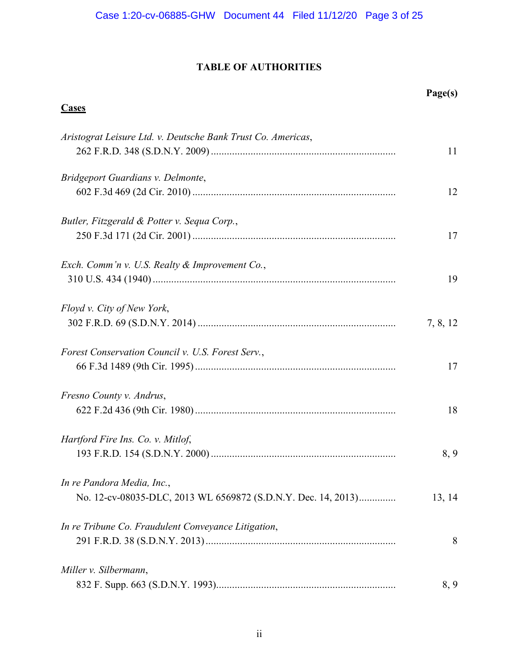# **TABLE OF AUTHORITIES**

|                                                               | Page(s)  |
|---------------------------------------------------------------|----------|
| <b>Cases</b>                                                  |          |
| Aristograt Leisure Ltd. v. Deutsche Bank Trust Co. Americas,  |          |
|                                                               | 11       |
| Bridgeport Guardians v. Delmonte,                             |          |
|                                                               | 12       |
| Butler, Fitzgerald & Potter v. Sequa Corp.,                   |          |
|                                                               | 17       |
| Exch. Comm'n v. U.S. Realty & Improvement Co.,                |          |
|                                                               | 19       |
| Floyd v. City of New York,                                    |          |
|                                                               | 7, 8, 12 |
| Forest Conservation Council v. U.S. Forest Serv.,             |          |
|                                                               | 17       |
| Fresno County v. Andrus,                                      |          |
|                                                               | 18       |
| Hartford Fire Ins. Co. v. Mitlof,                             |          |
|                                                               | 8,9      |
| In re Pandora Media, Inc.,                                    |          |
| No. 12-cv-08035-DLC, 2013 WL 6569872 (S.D.N.Y. Dec. 14, 2013) | 13, 14   |
| In re Tribune Co. Fraudulent Conveyance Litigation,           |          |
|                                                               | 8        |
| Miller v. Silbermann,                                         |          |
|                                                               | 8,9      |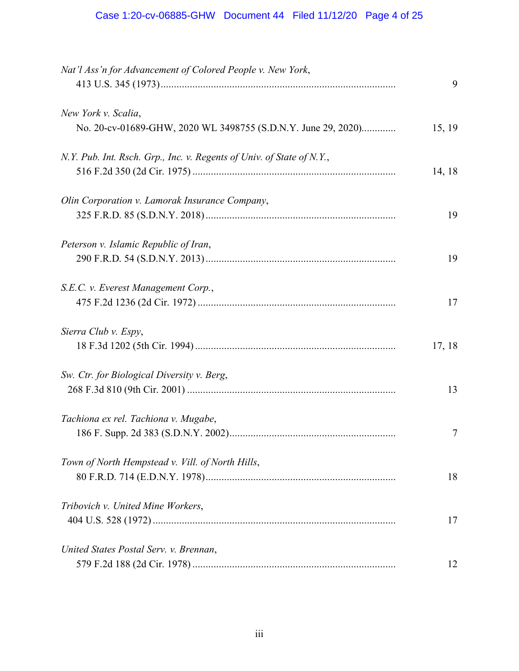| Nat'l Ass'n for Advancement of Colored People v. New York,                           | 9      |
|--------------------------------------------------------------------------------------|--------|
| New York v. Scalia,<br>No. 20-cv-01689-GHW, 2020 WL 3498755 (S.D.N.Y. June 29, 2020) | 15, 19 |
| N.Y. Pub. Int. Rsch. Grp., Inc. v. Regents of Univ. of State of N.Y.,                | 14, 18 |
| Olin Corporation v. Lamorak Insurance Company,                                       |        |
|                                                                                      | 19     |
| Peterson v. Islamic Republic of Iran,                                                | 19     |
| S.E.C. v. Everest Management Corp.,                                                  | 17     |
| Sierra Club v. Espy,                                                                 | 17, 18 |
| Sw. Ctr. for Biological Diversity v. Berg,                                           | 13     |
| Tachiona ex rel. Tachiona v. Mugabe,                                                 | 7      |
| Town of North Hempstead v. Vill. of North Hills,                                     | 18     |
| Tribovich v. United Mine Workers,                                                    | 17     |
| United States Postal Serv. v. Brennan,                                               | 12     |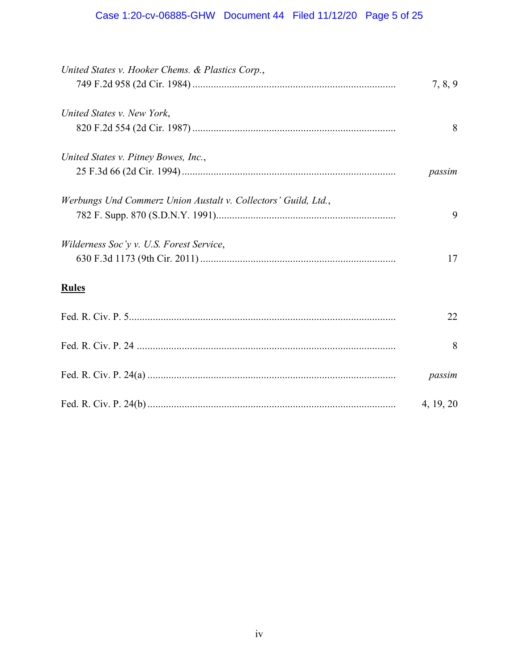# Case 1:20-cv-06885-GHW Document 44 Filed 11/12/20 Page 5 of 25

| United States v. Hooker Chems. & Plastics Corp.,               |           |
|----------------------------------------------------------------|-----------|
|                                                                | 7, 8, 9   |
| United States v. New York,                                     |           |
|                                                                | 8         |
| United States v. Pitney Bowes, Inc.,                           |           |
|                                                                | passim    |
| Werbungs Und Commerz Union Austalt v. Collectors' Guild, Ltd., |           |
|                                                                | 9         |
| Wilderness Soc'y v. U.S. Forest Service,                       |           |
|                                                                | 17        |
| <b>Rules</b>                                                   |           |
|                                                                | 22        |
|                                                                | 8         |
|                                                                | passim    |
|                                                                | 4, 19, 20 |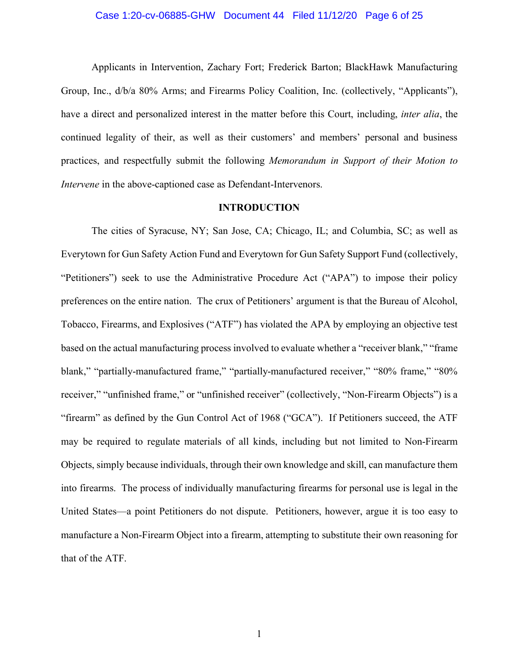#### Case 1:20-cv-06885-GHW Document 44 Filed 11/12/20 Page 6 of 25

Applicants in Intervention, Zachary Fort; Frederick Barton; BlackHawk Manufacturing Group, Inc., d/b/a 80% Arms; and Firearms Policy Coalition, Inc. (collectively, "Applicants"), have a direct and personalized interest in the matter before this Court, including, *inter alia*, the continued legality of their, as well as their customers' and members' personal and business practices, and respectfully submit the following *Memorandum in Support of their Motion to Intervene* in the above-captioned case as Defendant-Intervenors.

## **INTRODUCTION**

The cities of Syracuse, NY; San Jose, CA; Chicago, IL; and Columbia, SC; as well as Everytown for Gun Safety Action Fund and Everytown for Gun Safety Support Fund (collectively, "Petitioners") seek to use the Administrative Procedure Act ("APA") to impose their policy preferences on the entire nation. The crux of Petitioners' argument is that the Bureau of Alcohol, Tobacco, Firearms, and Explosives ("ATF") has violated the APA by employing an objective test based on the actual manufacturing process involved to evaluate whether a "receiver blank," "frame blank," "partially-manufactured frame," "partially-manufactured receiver," "80% frame," "80% receiver," "unfinished frame," or "unfinished receiver" (collectively, "Non-Firearm Objects") is a "firearm" as defined by the Gun Control Act of 1968 ("GCA"). If Petitioners succeed, the ATF may be required to regulate materials of all kinds, including but not limited to Non-Firearm Objects, simply because individuals, through their own knowledge and skill, can manufacture them into firearms. The process of individually manufacturing firearms for personal use is legal in the United States—a point Petitioners do not dispute. Petitioners, however, argue it is too easy to manufacture a Non-Firearm Object into a firearm, attempting to substitute their own reasoning for that of the ATF.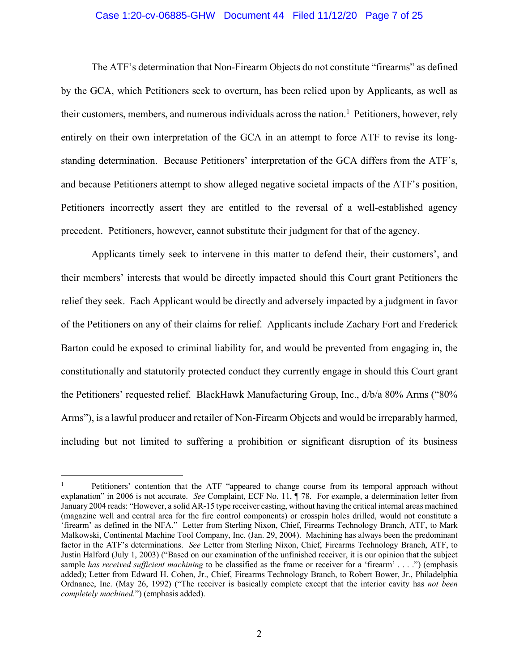#### Case 1:20-cv-06885-GHW Document 44 Filed 11/12/20 Page 7 of 25

The ATF's determination that Non-Firearm Objects do not constitute "firearms" as defined by the GCA, which Petitioners seek to overturn, has been relied upon by Applicants, as well as their customers, members, and numerous individuals across the nation.<sup>1</sup> Petitioners, however, rely entirely on their own interpretation of the GCA in an attempt to force ATF to revise its longstanding determination. Because Petitioners' interpretation of the GCA differs from the ATF's, and because Petitioners attempt to show alleged negative societal impacts of the ATF's position, Petitioners incorrectly assert they are entitled to the reversal of a well-established agency precedent. Petitioners, however, cannot substitute their judgment for that of the agency.

Applicants timely seek to intervene in this matter to defend their, their customers', and their members' interests that would be directly impacted should this Court grant Petitioners the relief they seek. Each Applicant would be directly and adversely impacted by a judgment in favor of the Petitioners on any of their claims for relief. Applicants include Zachary Fort and Frederick Barton could be exposed to criminal liability for, and would be prevented from engaging in, the constitutionally and statutorily protected conduct they currently engage in should this Court grant the Petitioners' requested relief. BlackHawk Manufacturing Group, Inc., d/b/a 80% Arms ("80% Arms"), is a lawful producer and retailer of Non-Firearm Objects and would be irreparably harmed, including but not limited to suffering a prohibition or significant disruption of its business

 <sup>1</sup> Petitioners' contention that the ATF "appeared to change course from its temporal approach without explanation" in 2006 is not accurate. *See* Complaint, ECF No. 11, ¶ 78. For example, a determination letter from January 2004 reads: "However, a solid AR-15 type receiver casting, without having the critical internal areas machined (magazine well and central area for the fire control components) or crosspin holes drilled, would not constitute a 'firearm' as defined in the NFA." Letter from Sterling Nixon, Chief, Firearms Technology Branch, ATF, to Mark Malkowski, Continental Machine Tool Company, Inc. (Jan. 29, 2004). Machining has always been the predominant factor in the ATF's determinations. *See* Letter from Sterling Nixon, Chief, Firearms Technology Branch, ATF, to Justin Halford (July 1, 2003) ("Based on our examination of the unfinished receiver, it is our opinion that the subject sample *has received sufficient machining* to be classified as the frame or receiver for a 'firearm' . . . .") (emphasis added); Letter from Edward H. Cohen, Jr., Chief, Firearms Technology Branch, to Robert Bower, Jr., Philadelphia Ordnance, Inc. (May 26, 1992) ("The receiver is basically complete except that the interior cavity has *not been completely machined*.") (emphasis added).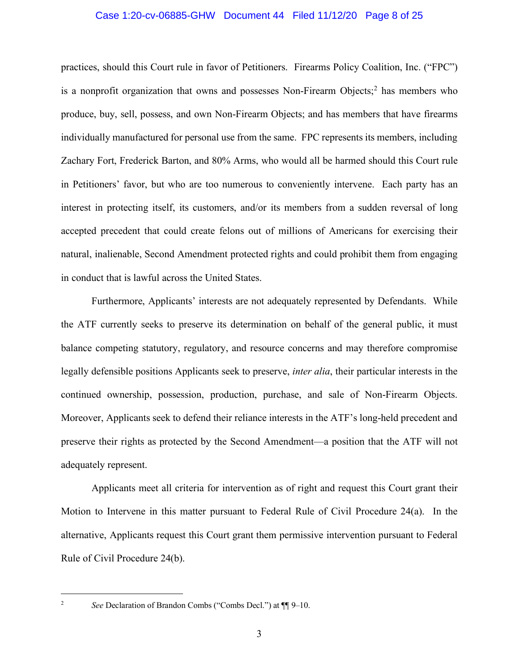#### Case 1:20-cv-06885-GHW Document 44 Filed 11/12/20 Page 8 of 25

practices, should this Court rule in favor of Petitioners. Firearms Policy Coalition, Inc. ("FPC") is a nonprofit organization that owns and possesses Non-Firearm Objects; <sup>2</sup> has members who produce, buy, sell, possess, and own Non-Firearm Objects; and has members that have firearms individually manufactured for personal use from the same. FPC represents its members, including Zachary Fort, Frederick Barton, and 80% Arms, who would all be harmed should this Court rule in Petitioners' favor, but who are too numerous to conveniently intervene. Each party has an interest in protecting itself, its customers, and/or its members from a sudden reversal of long accepted precedent that could create felons out of millions of Americans for exercising their natural, inalienable, Second Amendment protected rights and could prohibit them from engaging in conduct that is lawful across the United States.

Furthermore, Applicants' interests are not adequately represented by Defendants. While the ATF currently seeks to preserve its determination on behalf of the general public, it must balance competing statutory, regulatory, and resource concerns and may therefore compromise legally defensible positions Applicants seek to preserve, *inter alia*, their particular interests in the continued ownership, possession, production, purchase, and sale of Non-Firearm Objects. Moreover, Applicants seek to defend their reliance interests in the ATF's long-held precedent and preserve their rights as protected by the Second Amendment—a position that the ATF will not adequately represent.

Applicants meet all criteria for intervention as of right and request this Court grant their Motion to Intervene in this matter pursuant to Federal Rule of Civil Procedure 24(a). In the alternative, Applicants request this Court grant them permissive intervention pursuant to Federal Rule of Civil Procedure 24(b).

 <sup>2</sup> *See* Declaration of Brandon Combs ("Combs Decl.") at ¶¶ 9–10.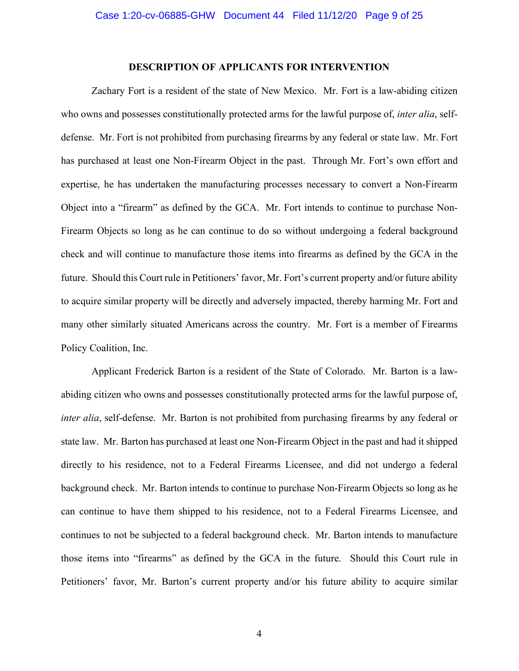#### **DESCRIPTION OF APPLICANTS FOR INTERVENTION**

Zachary Fort is a resident of the state of New Mexico. Mr. Fort is a law-abiding citizen who owns and possesses constitutionally protected arms for the lawful purpose of, *inter alia*, selfdefense. Mr. Fort is not prohibited from purchasing firearms by any federal or state law. Mr. Fort has purchased at least one Non-Firearm Object in the past. Through Mr. Fort's own effort and expertise, he has undertaken the manufacturing processes necessary to convert a Non-Firearm Object into a "firearm" as defined by the GCA. Mr. Fort intends to continue to purchase Non-Firearm Objects so long as he can continue to do so without undergoing a federal background check and will continue to manufacture those items into firearms as defined by the GCA in the future. Should this Court rule in Petitioners' favor, Mr. Fort's current property and/or future ability to acquire similar property will be directly and adversely impacted, thereby harming Mr. Fort and many other similarly situated Americans across the country. Mr. Fort is a member of Firearms Policy Coalition, Inc.

Applicant Frederick Barton is a resident of the State of Colorado. Mr. Barton is a lawabiding citizen who owns and possesses constitutionally protected arms for the lawful purpose of, *inter alia*, self-defense. Mr. Barton is not prohibited from purchasing firearms by any federal or state law. Mr. Barton has purchased at least one Non-Firearm Object in the past and had it shipped directly to his residence, not to a Federal Firearms Licensee, and did not undergo a federal background check. Mr. Barton intends to continue to purchase Non-Firearm Objects so long as he can continue to have them shipped to his residence, not to a Federal Firearms Licensee, and continues to not be subjected to a federal background check. Mr. Barton intends to manufacture those items into "firearms" as defined by the GCA in the future. Should this Court rule in Petitioners' favor, Mr. Barton's current property and/or his future ability to acquire similar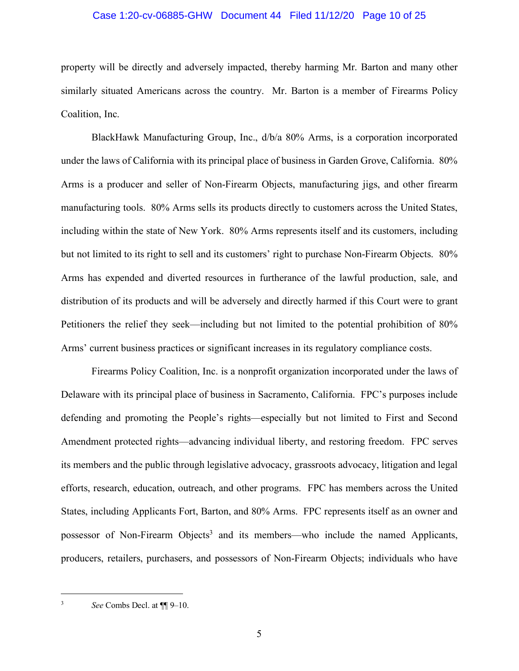#### Case 1:20-cv-06885-GHW Document 44 Filed 11/12/20 Page 10 of 25

property will be directly and adversely impacted, thereby harming Mr. Barton and many other similarly situated Americans across the country. Mr. Barton is a member of Firearms Policy Coalition, Inc.

BlackHawk Manufacturing Group, Inc., d/b/a 80% Arms, is a corporation incorporated under the laws of California with its principal place of business in Garden Grove, California. 80% Arms is a producer and seller of Non-Firearm Objects, manufacturing jigs, and other firearm manufacturing tools. 80% Arms sells its products directly to customers across the United States, including within the state of New York. 80% Arms represents itself and its customers, including but not limited to its right to sell and its customers' right to purchase Non-Firearm Objects. 80% Arms has expended and diverted resources in furtherance of the lawful production, sale, and distribution of its products and will be adversely and directly harmed if this Court were to grant Petitioners the relief they seek—including but not limited to the potential prohibition of 80% Arms' current business practices or significant increases in its regulatory compliance costs.

Firearms Policy Coalition, Inc. is a nonprofit organization incorporated under the laws of Delaware with its principal place of business in Sacramento, California. FPC's purposes include defending and promoting the People's rights—especially but not limited to First and Second Amendment protected rights—advancing individual liberty, and restoring freedom. FPC serves its members and the public through legislative advocacy, grassroots advocacy, litigation and legal efforts, research, education, outreach, and other programs. FPC has members across the United States, including Applicants Fort, Barton, and 80% Arms. FPC represents itself as an owner and possessor of Non-Firearm Objects<sup>3</sup> and its members—who include the named Applicants, producers, retailers, purchasers, and possessors of Non-Firearm Objects; individuals who have

 <sup>3</sup> *See* Combs Decl. at ¶¶ 9–10.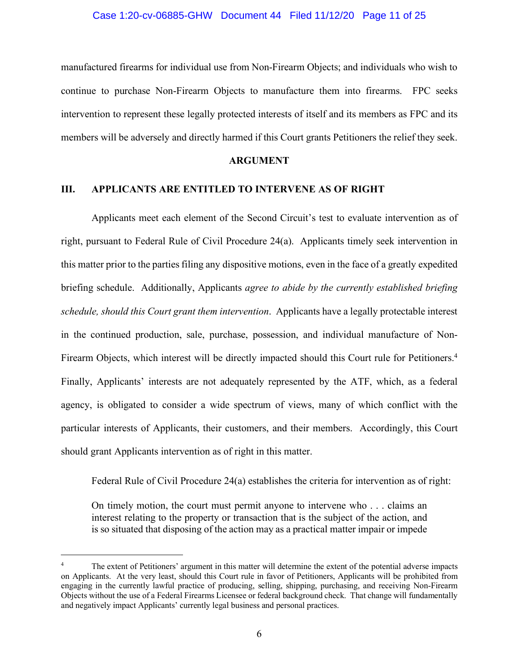#### Case 1:20-cv-06885-GHW Document 44 Filed 11/12/20 Page 11 of 25

manufactured firearms for individual use from Non-Firearm Objects; and individuals who wish to continue to purchase Non-Firearm Objects to manufacture them into firearms. FPC seeks intervention to represent these legally protected interests of itself and its members as FPC and its members will be adversely and directly harmed if this Court grants Petitioners the relief they seek.

#### **ARGUMENT**

#### **III. APPLICANTS ARE ENTITLED TO INTERVENE AS OF RIGHT**

Applicants meet each element of the Second Circuit's test to evaluate intervention as of right, pursuant to Federal Rule of Civil Procedure 24(a). Applicants timely seek intervention in this matter prior to the parties filing any dispositive motions, even in the face of a greatly expedited briefing schedule. Additionally, Applicants *agree to abide by the currently established briefing schedule, should this Court grant them intervention*. Applicants have a legally protectable interest in the continued production, sale, purchase, possession, and individual manufacture of Non-Firearm Objects, which interest will be directly impacted should this Court rule for Petitioners.<sup>4</sup> Finally, Applicants' interests are not adequately represented by the ATF, which, as a federal agency, is obligated to consider a wide spectrum of views, many of which conflict with the particular interests of Applicants, their customers, and their members. Accordingly, this Court should grant Applicants intervention as of right in this matter.

Federal Rule of Civil Procedure 24(a) establishes the criteria for intervention as of right:

On timely motion, the court must permit anyone to intervene who . . . claims an interest relating to the property or transaction that is the subject of the action, and is so situated that disposing of the action may as a practical matter impair or impede

 <sup>4</sup> The extent of Petitioners' argument in this matter will determine the extent of the potential adverse impacts on Applicants. At the very least, should this Court rule in favor of Petitioners, Applicants will be prohibited from engaging in the currently lawful practice of producing, selling, shipping, purchasing, and receiving Non-Firearm Objects without the use of a Federal Firearms Licensee or federal background check. That change will fundamentally and negatively impact Applicants' currently legal business and personal practices.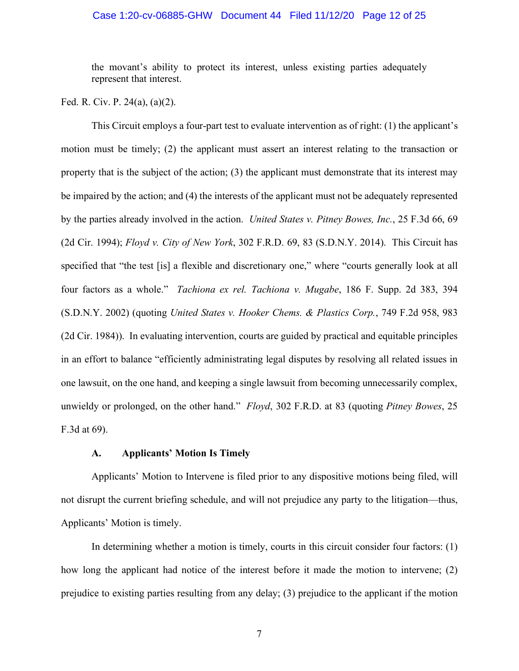#### Case 1:20-cv-06885-GHW Document 44 Filed 11/12/20 Page 12 of 25

the movant's ability to protect its interest, unless existing parties adequately represent that interest.

Fed. R. Civ. P. 24(a), (a)(2).

This Circuit employs a four-part test to evaluate intervention as of right: (1) the applicant's motion must be timely; (2) the applicant must assert an interest relating to the transaction or property that is the subject of the action; (3) the applicant must demonstrate that its interest may be impaired by the action; and (4) the interests of the applicant must not be adequately represented by the parties already involved in the action. *United States v. Pitney Bowes, Inc.*, 25 F.3d 66, 69 (2d Cir. 1994); *Floyd v. City of New York*, 302 F.R.D. 69, 83 (S.D.N.Y. 2014). This Circuit has specified that "the test [is] a flexible and discretionary one," where "courts generally look at all four factors as a whole." *Tachiona ex rel. Tachiona v. Mugabe*, 186 F. Supp. 2d 383, 394 (S.D.N.Y. 2002) (quoting *United States v. Hooker Chems. & Plastics Corp.*, 749 F.2d 958, 983 (2d Cir. 1984)). In evaluating intervention, courts are guided by practical and equitable principles in an effort to balance "efficiently administrating legal disputes by resolving all related issues in one lawsuit, on the one hand, and keeping a single lawsuit from becoming unnecessarily complex, unwieldy or prolonged, on the other hand." *Floyd*, 302 F.R.D. at 83 (quoting *Pitney Bowes*, 25 F.3d at 69).

## **A. Applicants' Motion Is Timely**

Applicants' Motion to Intervene is filed prior to any dispositive motions being filed, will not disrupt the current briefing schedule, and will not prejudice any party to the litigation—thus, Applicants' Motion is timely.

In determining whether a motion is timely, courts in this circuit consider four factors: (1) how long the applicant had notice of the interest before it made the motion to intervene; (2) prejudice to existing parties resulting from any delay; (3) prejudice to the applicant if the motion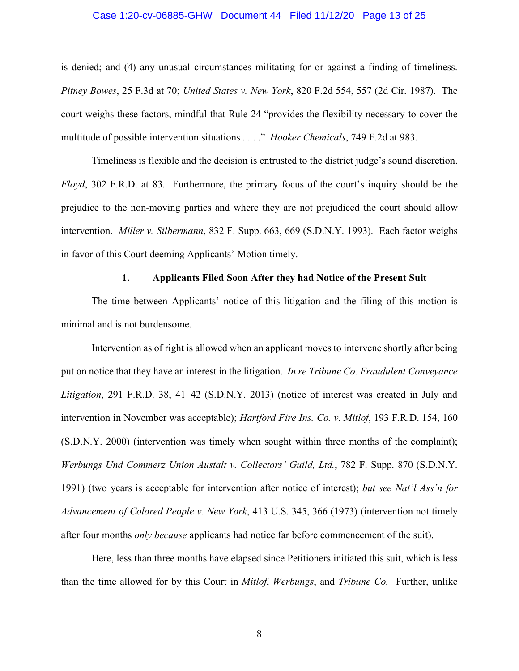#### Case 1:20-cv-06885-GHW Document 44 Filed 11/12/20 Page 13 of 25

is denied; and (4) any unusual circumstances militating for or against a finding of timeliness. *Pitney Bowes*, 25 F.3d at 70; *United States v. New York*, 820 F.2d 554, 557 (2d Cir. 1987). The court weighs these factors, mindful that Rule 24 "provides the flexibility necessary to cover the multitude of possible intervention situations . . . ." *Hooker Chemicals*, 749 F.2d at 983.

Timeliness is flexible and the decision is entrusted to the district judge's sound discretion. *Floyd*, 302 F.R.D. at 83. Furthermore, the primary focus of the court's inquiry should be the prejudice to the non-moving parties and where they are not prejudiced the court should allow intervention. *Miller v. Silbermann*, 832 F. Supp. 663, 669 (S.D.N.Y. 1993). Each factor weighs in favor of this Court deeming Applicants' Motion timely.

#### **1. Applicants Filed Soon After they had Notice of the Present Suit**

The time between Applicants' notice of this litigation and the filing of this motion is minimal and is not burdensome.

Intervention as of right is allowed when an applicant moves to intervene shortly after being put on notice that they have an interest in the litigation. *In re Tribune Co. Fraudulent Conveyance Litigation*, 291 F.R.D. 38, 41–42 (S.D.N.Y. 2013) (notice of interest was created in July and intervention in November was acceptable); *Hartford Fire Ins. Co. v. Mitlof*, 193 F.R.D. 154, 160 (S.D.N.Y. 2000) (intervention was timely when sought within three months of the complaint); *Werbungs Und Commerz Union Austalt v. Collectors' Guild, Ltd.*, 782 F. Supp. 870 (S.D.N.Y. 1991) (two years is acceptable for intervention after notice of interest); *but see Nat'l Ass'n for Advancement of Colored People v. New York*, 413 U.S. 345, 366 (1973) (intervention not timely after four months *only because* applicants had notice far before commencement of the suit).

Here, less than three months have elapsed since Petitioners initiated this suit, which is less than the time allowed for by this Court in *Mitlof*, *Werbungs*, and *Tribune Co.* Further, unlike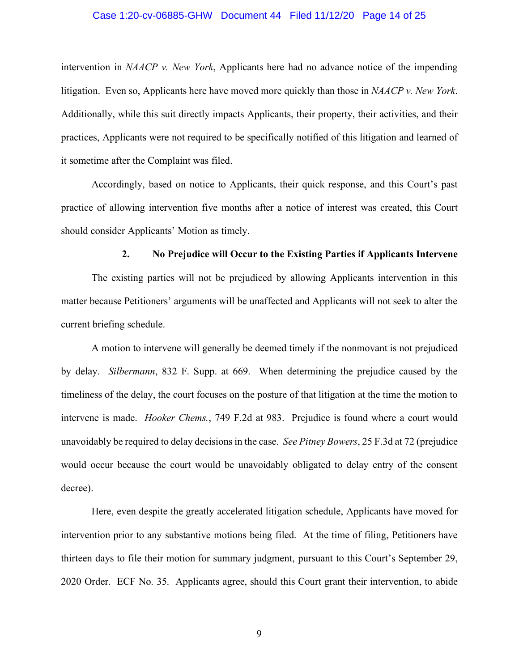#### Case 1:20-cv-06885-GHW Document 44 Filed 11/12/20 Page 14 of 25

intervention in *NAACP v. New York*, Applicants here had no advance notice of the impending litigation. Even so, Applicants here have moved more quickly than those in *NAACP v. New York*. Additionally, while this suit directly impacts Applicants, their property, their activities, and their practices, Applicants were not required to be specifically notified of this litigation and learned of it sometime after the Complaint was filed.

Accordingly, based on notice to Applicants, their quick response, and this Court's past practice of allowing intervention five months after a notice of interest was created, this Court should consider Applicants' Motion as timely.

#### **2. No Prejudice will Occur to the Existing Parties if Applicants Intervene**

The existing parties will not be prejudiced by allowing Applicants intervention in this matter because Petitioners' arguments will be unaffected and Applicants will not seek to alter the current briefing schedule.

A motion to intervene will generally be deemed timely if the nonmovant is not prejudiced by delay. *Silbermann*, 832 F. Supp. at 669. When determining the prejudice caused by the timeliness of the delay, the court focuses on the posture of that litigation at the time the motion to intervene is made. *Hooker Chems.*, 749 F.2d at 983. Prejudice is found where a court would unavoidably be required to delay decisions in the case. *See Pitney Bowers*, 25 F.3d at 72 (prejudice would occur because the court would be unavoidably obligated to delay entry of the consent decree).

Here, even despite the greatly accelerated litigation schedule, Applicants have moved for intervention prior to any substantive motions being filed. At the time of filing, Petitioners have thirteen days to file their motion for summary judgment, pursuant to this Court's September 29, 2020 Order. ECF No. 35. Applicants agree, should this Court grant their intervention, to abide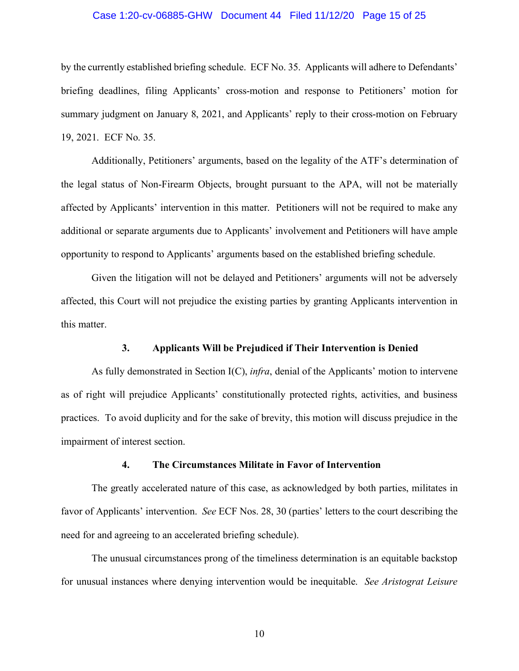#### Case 1:20-cv-06885-GHW Document 44 Filed 11/12/20 Page 15 of 25

by the currently established briefing schedule. ECF No. 35. Applicants will adhere to Defendants' briefing deadlines, filing Applicants' cross-motion and response to Petitioners' motion for summary judgment on January 8, 2021, and Applicants' reply to their cross-motion on February 19, 2021. ECF No. 35.

Additionally, Petitioners' arguments, based on the legality of the ATF's determination of the legal status of Non-Firearm Objects, brought pursuant to the APA, will not be materially affected by Applicants' intervention in this matter. Petitioners will not be required to make any additional or separate arguments due to Applicants' involvement and Petitioners will have ample opportunity to respond to Applicants' arguments based on the established briefing schedule.

Given the litigation will not be delayed and Petitioners' arguments will not be adversely affected, this Court will not prejudice the existing parties by granting Applicants intervention in this matter.

#### **3. Applicants Will be Prejudiced if Their Intervention is Denied**

As fully demonstrated in Section I(C), *infra*, denial of the Applicants' motion to intervene as of right will prejudice Applicants' constitutionally protected rights, activities, and business practices. To avoid duplicity and for the sake of brevity, this motion will discuss prejudice in the impairment of interest section.

#### **4. The Circumstances Militate in Favor of Intervention**

The greatly accelerated nature of this case, as acknowledged by both parties, militates in favor of Applicants' intervention. *See* ECF Nos. 28, 30 (parties' letters to the court describing the need for and agreeing to an accelerated briefing schedule).

The unusual circumstances prong of the timeliness determination is an equitable backstop for unusual instances where denying intervention would be inequitable. *See Aristograt Leisure*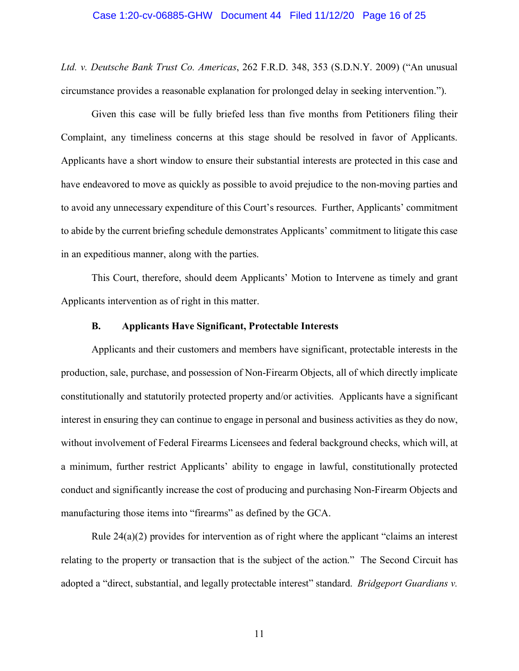#### Case 1:20-cv-06885-GHW Document 44 Filed 11/12/20 Page 16 of 25

*Ltd. v. Deutsche Bank Trust Co. Americas*, 262 F.R.D. 348, 353 (S.D.N.Y. 2009) ("An unusual circumstance provides a reasonable explanation for prolonged delay in seeking intervention.").

Given this case will be fully briefed less than five months from Petitioners filing their Complaint, any timeliness concerns at this stage should be resolved in favor of Applicants. Applicants have a short window to ensure their substantial interests are protected in this case and have endeavored to move as quickly as possible to avoid prejudice to the non-moving parties and to avoid any unnecessary expenditure of this Court's resources. Further, Applicants' commitment to abide by the current briefing schedule demonstrates Applicants' commitment to litigate this case in an expeditious manner, along with the parties.

This Court, therefore, should deem Applicants' Motion to Intervene as timely and grant Applicants intervention as of right in this matter.

#### **B. Applicants Have Significant, Protectable Interests**

Applicants and their customers and members have significant, protectable interests in the production, sale, purchase, and possession of Non-Firearm Objects, all of which directly implicate constitutionally and statutorily protected property and/or activities. Applicants have a significant interest in ensuring they can continue to engage in personal and business activities as they do now, without involvement of Federal Firearms Licensees and federal background checks, which will, at a minimum, further restrict Applicants' ability to engage in lawful, constitutionally protected conduct and significantly increase the cost of producing and purchasing Non-Firearm Objects and manufacturing those items into "firearms" as defined by the GCA.

Rule 24(a)(2) provides for intervention as of right where the applicant "claims an interest relating to the property or transaction that is the subject of the action." The Second Circuit has adopted a "direct, substantial, and legally protectable interest" standard. *Bridgeport Guardians v.*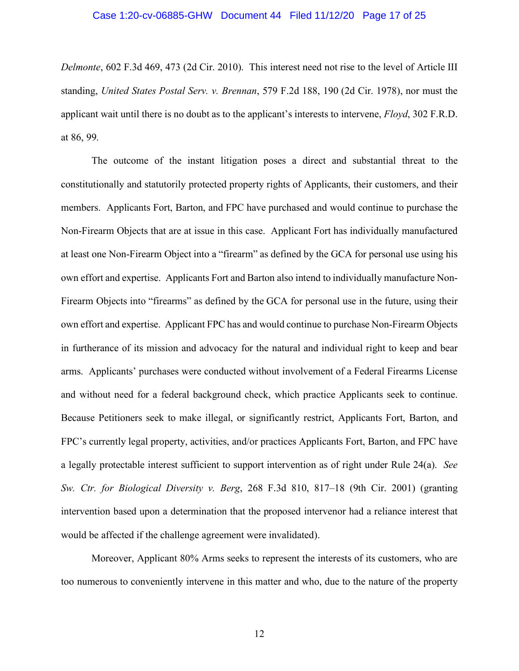#### Case 1:20-cv-06885-GHW Document 44 Filed 11/12/20 Page 17 of 25

*Delmonte*, 602 F.3d 469, 473 (2d Cir. 2010). This interest need not rise to the level of Article III standing, *United States Postal Serv. v. Brennan*, 579 F.2d 188, 190 (2d Cir. 1978), nor must the applicant wait until there is no doubt as to the applicant's interests to intervene, *Floyd*, 302 F.R.D. at 86, 99.

The outcome of the instant litigation poses a direct and substantial threat to the constitutionally and statutorily protected property rights of Applicants, their customers, and their members. Applicants Fort, Barton, and FPC have purchased and would continue to purchase the Non-Firearm Objects that are at issue in this case. Applicant Fort has individually manufactured at least one Non-Firearm Object into a "firearm" as defined by the GCA for personal use using his own effort and expertise. Applicants Fort and Barton also intend to individually manufacture Non-Firearm Objects into "firearms" as defined by the GCA for personal use in the future, using their own effort and expertise. Applicant FPC has and would continue to purchase Non-Firearm Objects in furtherance of its mission and advocacy for the natural and individual right to keep and bear arms. Applicants' purchases were conducted without involvement of a Federal Firearms License and without need for a federal background check, which practice Applicants seek to continue. Because Petitioners seek to make illegal, or significantly restrict, Applicants Fort, Barton, and FPC's currently legal property, activities, and/or practices Applicants Fort, Barton, and FPC have a legally protectable interest sufficient to support intervention as of right under Rule 24(a). *See Sw. Ctr. for Biological Diversity v. Berg*, 268 F.3d 810, 817–18 (9th Cir. 2001) (granting intervention based upon a determination that the proposed intervenor had a reliance interest that would be affected if the challenge agreement were invalidated).

Moreover, Applicant 80% Arms seeks to represent the interests of its customers, who are too numerous to conveniently intervene in this matter and who, due to the nature of the property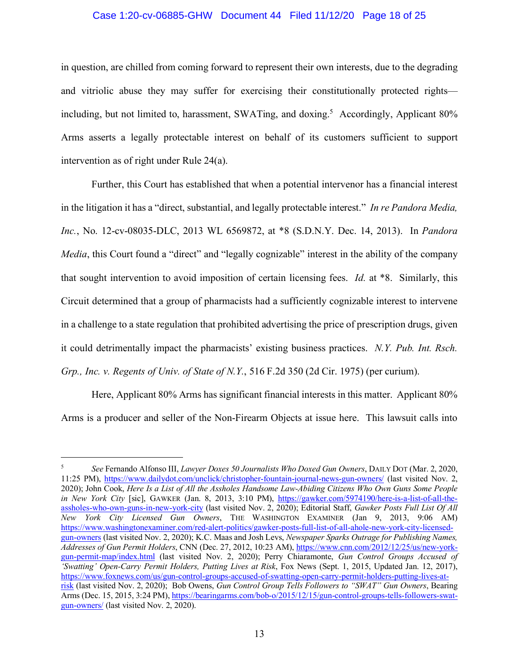#### Case 1:20-cv-06885-GHW Document 44 Filed 11/12/20 Page 18 of 25

in question, are chilled from coming forward to represent their own interests, due to the degrading and vitriolic abuse they may suffer for exercising their constitutionally protected rights including, but not limited to, harassment, SWATing, and doxing.<sup>5</sup> Accordingly, Applicant  $80\%$ Arms asserts a legally protectable interest on behalf of its customers sufficient to support intervention as of right under Rule 24(a).

Further, this Court has established that when a potential intervenor has a financial interest in the litigation it has a "direct, substantial, and legally protectable interest." *In re Pandora Media, Inc.*, No. 12-cv-08035-DLC, 2013 WL 6569872, at \*8 (S.D.N.Y. Dec. 14, 2013). In *Pandora Media*, this Court found a "direct" and "legally cognizable" interest in the ability of the company that sought intervention to avoid imposition of certain licensing fees. *Id.* at \*8. Similarly, this Circuit determined that a group of pharmacists had a sufficiently cognizable interest to intervene in a challenge to a state regulation that prohibited advertising the price of prescription drugs, given it could detrimentally impact the pharmacists' existing business practices. *N.Y. Pub. Int. Rsch. Grp., Inc. v. Regents of Univ. of State of N.Y.*, 516 F.2d 350 (2d Cir. 1975) (per curium).

Here, Applicant 80% Arms has significant financial interests in this matter. Applicant 80% Arms is a producer and seller of the Non-Firearm Objects at issue here. This lawsuit calls into

 <sup>5</sup> *See* Fernando Alfonso III, *Lawyer Doxes 50 Journalists Who Doxed Gun Owners*, DAILY DOT (Mar. 2, 2020, 11:25 PM), https://www.dailydot.com/unclick/christopher-fountain-journal-news-gun-owners/ (last visited Nov. 2, 2020); John Cook, *Here Is a List of All the Assholes Handsome Law-Abiding Citizens Who Own Guns Some People in New York City* [sic], GAWKER (Jan. 8, 2013, 3:10 PM), https://gawker.com/5974190/here-is-a-list-of-all-theassholes-who-own-guns-in-new-york-city (last visited Nov. 2, 2020); Editorial Staff, *Gawker Posts Full List Of All New York City Licensed Gun Owners*, THE WASHINGTON EXAMINER (Jan 9, 2013, 9:06 AM) https://www.washingtonexaminer.com/red-alert-politics/gawker-posts-full-list-of-all-ahole-new-york-city-licensedgun-owners (last visited Nov. 2, 2020); K.C. Maas and Josh Levs, *Newspaper Sparks Outrage for Publishing Names, Addresses of Gun Permit Holders*, CNN (Dec. 27, 2012, 10:23 AM), https://www.cnn.com/2012/12/25/us/new-yorkgun-permit-map/index.html (last visited Nov. 2, 2020); Perry Chiaramonte, *Gun Control Groups Accused of 'Swatting' Open-Carry Permit Holders, Putting Lives at Risk*, Fox News (Sept. 1, 2015, Updated Jan. 12, 2017), https://www.foxnews.com/us/gun-control-groups-accused-of-swatting-open-carry-permit-holders-putting-lives-atrisk (last visited Nov. 2, 2020); Bob Owens, *Gun Control Group Tells Followers to "SWAT" Gun Owners*, Bearing Arms (Dec. 15, 2015, 3:24 PM), https://bearingarms.com/bob-o/2015/12/15/gun-control-groups-tells-followers-swatgun-owners/ (last visited Nov. 2, 2020).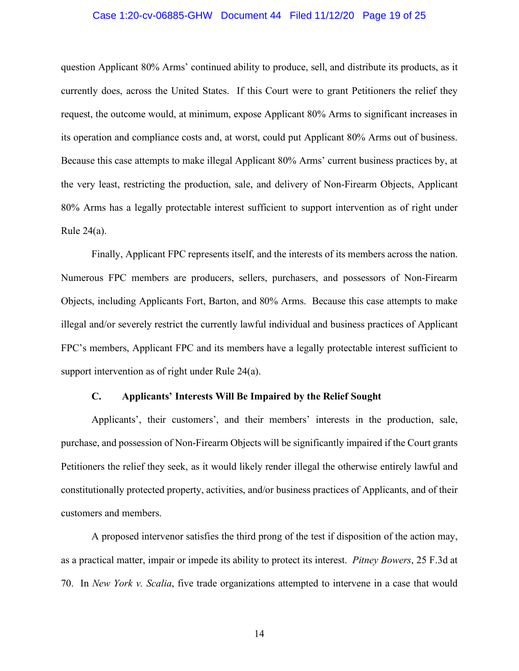#### Case 1:20-cv-06885-GHW Document 44 Filed 11/12/20 Page 19 of 25

question Applicant 80% Arms' continued ability to produce, sell, and distribute its products, as it currently does, across the United States. If this Court were to grant Petitioners the relief they request, the outcome would, at minimum, expose Applicant 80% Arms to significant increases in its operation and compliance costs and, at worst, could put Applicant 80% Arms out of business. Because this case attempts to make illegal Applicant 80% Arms' current business practices by, at the very least, restricting the production, sale, and delivery of Non-Firearm Objects, Applicant 80% Arms has a legally protectable interest sufficient to support intervention as of right under Rule  $24(a)$ .

Finally, Applicant FPC represents itself, and the interests of its members across the nation. Numerous FPC members are producers, sellers, purchasers, and possessors of Non-Firearm Objects, including Applicants Fort, Barton, and 80% Arms. Because this case attempts to make illegal and/or severely restrict the currently lawful individual and business practices of Applicant FPC's members, Applicant FPC and its members have a legally protectable interest sufficient to support intervention as of right under Rule 24(a).

# **C. Applicants' Interests Will Be Impaired by the Relief Sought**

Applicants', their customers', and their members' interests in the production, sale, purchase, and possession of Non-Firearm Objects will be significantly impaired if the Court grants Petitioners the relief they seek, as it would likely render illegal the otherwise entirely lawful and constitutionally protected property, activities, and/or business practices of Applicants, and of their customers and members.

A proposed intervenor satisfies the third prong of the test if disposition of the action may, as a practical matter, impair or impede its ability to protect its interest. *Pitney Bowers*, 25 F.3d at 70. In *New York v. Scalia*, five trade organizations attempted to intervene in a case that would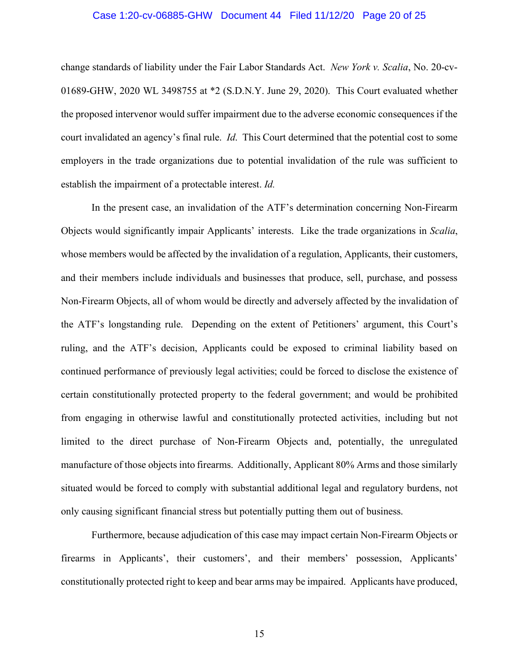#### Case 1:20-cv-06885-GHW Document 44 Filed 11/12/20 Page 20 of 25

change standards of liability under the Fair Labor Standards Act. *New York v. Scalia*, No. 20-cv-01689-GHW, 2020 WL 3498755 at \*2 (S.D.N.Y. June 29, 2020). This Court evaluated whether the proposed intervenor would suffer impairment due to the adverse economic consequences if the court invalidated an agency's final rule. *Id*. This Court determined that the potential cost to some employers in the trade organizations due to potential invalidation of the rule was sufficient to establish the impairment of a protectable interest. *Id.*

In the present case, an invalidation of the ATF's determination concerning Non-Firearm Objects would significantly impair Applicants' interests. Like the trade organizations in *Scalia*, whose members would be affected by the invalidation of a regulation, Applicants, their customers, and their members include individuals and businesses that produce, sell, purchase, and possess Non-Firearm Objects, all of whom would be directly and adversely affected by the invalidation of the ATF's longstanding rule. Depending on the extent of Petitioners' argument, this Court's ruling, and the ATF's decision, Applicants could be exposed to criminal liability based on continued performance of previously legal activities; could be forced to disclose the existence of certain constitutionally protected property to the federal government; and would be prohibited from engaging in otherwise lawful and constitutionally protected activities, including but not limited to the direct purchase of Non-Firearm Objects and, potentially, the unregulated manufacture of those objects into firearms. Additionally, Applicant 80% Arms and those similarly situated would be forced to comply with substantial additional legal and regulatory burdens, not only causing significant financial stress but potentially putting them out of business.

Furthermore, because adjudication of this case may impact certain Non-Firearm Objects or firearms in Applicants', their customers', and their members' possession, Applicants' constitutionally protected right to keep and bear arms may be impaired. Applicants have produced,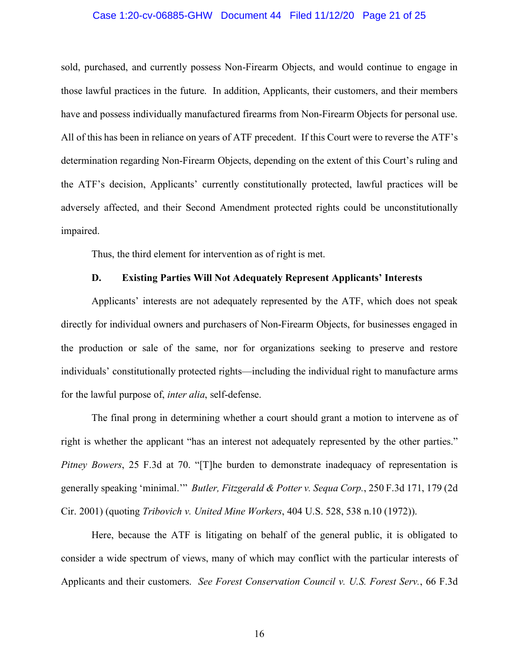#### Case 1:20-cv-06885-GHW Document 44 Filed 11/12/20 Page 21 of 25

sold, purchased, and currently possess Non-Firearm Objects, and would continue to engage in those lawful practices in the future. In addition, Applicants, their customers, and their members have and possess individually manufactured firearms from Non-Firearm Objects for personal use. All of this has been in reliance on years of ATF precedent. If this Court were to reverse the ATF's determination regarding Non-Firearm Objects, depending on the extent of this Court's ruling and the ATF's decision, Applicants' currently constitutionally protected, lawful practices will be adversely affected, and their Second Amendment protected rights could be unconstitutionally impaired.

Thus, the third element for intervention as of right is met.

# **D. Existing Parties Will Not Adequately Represent Applicants' Interests**

Applicants' interests are not adequately represented by the ATF, which does not speak directly for individual owners and purchasers of Non-Firearm Objects, for businesses engaged in the production or sale of the same, nor for organizations seeking to preserve and restore individuals' constitutionally protected rights—including the individual right to manufacture arms for the lawful purpose of, *inter alia*, self-defense.

The final prong in determining whether a court should grant a motion to intervene as of right is whether the applicant "has an interest not adequately represented by the other parties." *Pitney Bowers*, 25 F.3d at 70. "[T]he burden to demonstrate inadequacy of representation is generally speaking 'minimal.'" *Butler, Fitzgerald & Potter v. Sequa Corp.*, 250 F.3d 171, 179 (2d Cir. 2001) (quoting *Tribovich v. United Mine Workers*, 404 U.S. 528, 538 n.10 (1972)).

Here, because the ATF is litigating on behalf of the general public, it is obligated to consider a wide spectrum of views, many of which may conflict with the particular interests of Applicants and their customers. *See Forest Conservation Council v. U.S. Forest Serv.*, 66 F.3d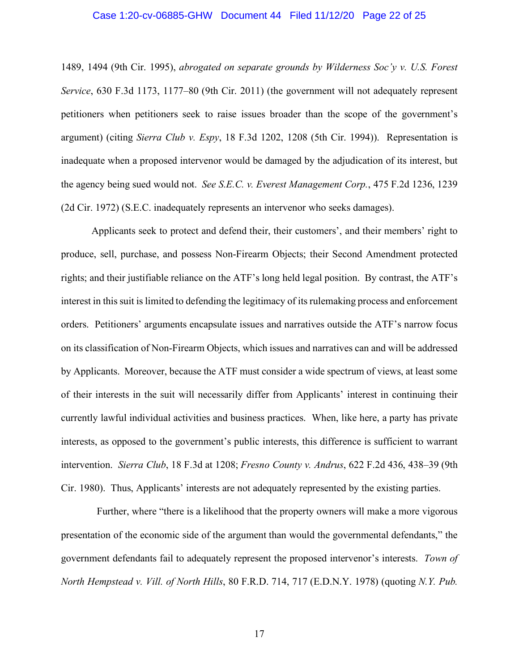#### Case 1:20-cv-06885-GHW Document 44 Filed 11/12/20 Page 22 of 25

1489, 1494 (9th Cir. 1995), *abrogated on separate grounds by Wilderness Soc'y v. U.S. Forest Service*, 630 F.3d 1173, 1177–80 (9th Cir. 2011) (the government will not adequately represent petitioners when petitioners seek to raise issues broader than the scope of the government's argument) (citing *Sierra Club v. Espy*, 18 F.3d 1202, 1208 (5th Cir. 1994)). Representation is inadequate when a proposed intervenor would be damaged by the adjudication of its interest, but the agency being sued would not. *See S.E.C. v. Everest Management Corp.*, 475 F.2d 1236, 1239 (2d Cir. 1972) (S.E.C. inadequately represents an intervenor who seeks damages).

Applicants seek to protect and defend their, their customers', and their members' right to produce, sell, purchase, and possess Non-Firearm Objects; their Second Amendment protected rights; and their justifiable reliance on the ATF's long held legal position. By contrast, the ATF's interest in this suit is limited to defending the legitimacy of its rulemaking process and enforcement orders. Petitioners' arguments encapsulate issues and narratives outside the ATF's narrow focus on its classification of Non-Firearm Objects, which issues and narratives can and will be addressed by Applicants. Moreover, because the ATF must consider a wide spectrum of views, at least some of their interests in the suit will necessarily differ from Applicants' interest in continuing their currently lawful individual activities and business practices. When, like here, a party has private interests, as opposed to the government's public interests, this difference is sufficient to warrant intervention. *Sierra Club*, 18 F.3d at 1208; *Fresno County v. Andrus*, 622 F.2d 436, 438–39 (9th Cir. 1980). Thus, Applicants' interests are not adequately represented by the existing parties.

Further, where "there is a likelihood that the property owners will make a more vigorous presentation of the economic side of the argument than would the governmental defendants," the government defendants fail to adequately represent the proposed intervenor's interests. *Town of North Hempstead v. Vill. of North Hills*, 80 F.R.D. 714, 717 (E.D.N.Y. 1978) (quoting *N.Y. Pub.*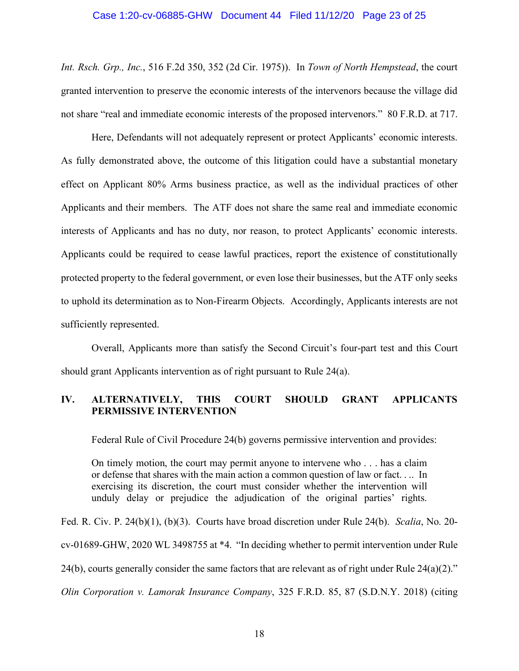#### Case 1:20-cv-06885-GHW Document 44 Filed 11/12/20 Page 23 of 25

*Int. Rsch. Grp., Inc.*, 516 F.2d 350, 352 (2d Cir. 1975)). In *Town of North Hempstead*, the court granted intervention to preserve the economic interests of the intervenors because the village did not share "real and immediate economic interests of the proposed intervenors." 80 F.R.D. at 717.

Here, Defendants will not adequately represent or protect Applicants' economic interests. As fully demonstrated above, the outcome of this litigation could have a substantial monetary effect on Applicant 80% Arms business practice, as well as the individual practices of other Applicants and their members. The ATF does not share the same real and immediate economic interests of Applicants and has no duty, nor reason, to protect Applicants' economic interests. Applicants could be required to cease lawful practices, report the existence of constitutionally protected property to the federal government, or even lose their businesses, but the ATF only seeks to uphold its determination as to Non-Firearm Objects. Accordingly, Applicants interests are not sufficiently represented.

Overall, Applicants more than satisfy the Second Circuit's four-part test and this Court should grant Applicants intervention as of right pursuant to Rule 24(a).

# **IV. ALTERNATIVELY, THIS COURT SHOULD GRANT APPLICANTS PERMISSIVE INTERVENTION**

Federal Rule of Civil Procedure 24(b) governs permissive intervention and provides:

On timely motion, the court may permit anyone to intervene who . . . has a claim or defense that shares with the main action a common question of law or fact. . .. In exercising its discretion, the court must consider whether the intervention will unduly delay or prejudice the adjudication of the original parties' rights.

Fed. R. Civ. P. 24(b)(1), (b)(3). Courts have broad discretion under Rule 24(b). *Scalia*, No. 20 cv-01689-GHW, 2020 WL 3498755 at \*4. "In deciding whether to permit intervention under Rule 24(b), courts generally consider the same factors that are relevant as of right under Rule 24(a)(2)." *Olin Corporation v. Lamorak Insurance Company*, 325 F.R.D. 85, 87 (S.D.N.Y. 2018) (citing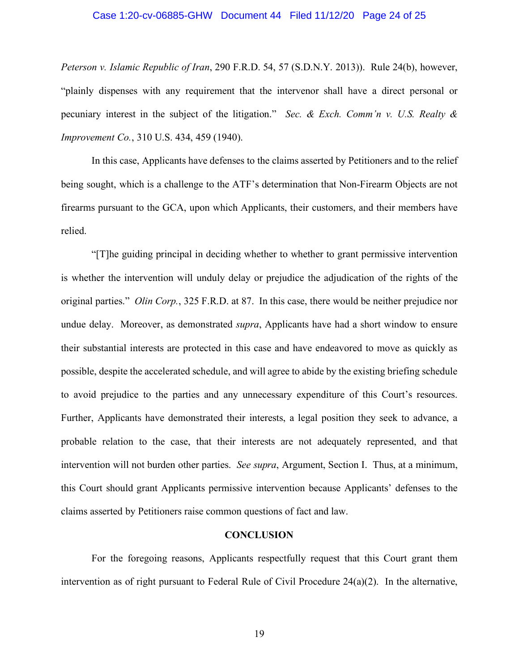#### Case 1:20-cv-06885-GHW Document 44 Filed 11/12/20 Page 24 of 25

*Peterson v. Islamic Republic of Iran*, 290 F.R.D. 54, 57 (S.D.N.Y. 2013)). Rule 24(b), however, "plainly dispenses with any requirement that the intervenor shall have a direct personal or pecuniary interest in the subject of the litigation." *Sec. & Exch. Comm'n v. U.S. Realty & Improvement Co.*, 310 U.S. 434, 459 (1940).

In this case, Applicants have defenses to the claims asserted by Petitioners and to the relief being sought, which is a challenge to the ATF's determination that Non-Firearm Objects are not firearms pursuant to the GCA, upon which Applicants, their customers, and their members have relied.

"[T]he guiding principal in deciding whether to whether to grant permissive intervention is whether the intervention will unduly delay or prejudice the adjudication of the rights of the original parties." *Olin Corp.*, 325 F.R.D. at 87. In this case, there would be neither prejudice nor undue delay. Moreover, as demonstrated *supra*, Applicants have had a short window to ensure their substantial interests are protected in this case and have endeavored to move as quickly as possible, despite the accelerated schedule, and will agree to abide by the existing briefing schedule to avoid prejudice to the parties and any unnecessary expenditure of this Court's resources. Further, Applicants have demonstrated their interests, a legal position they seek to advance, a probable relation to the case, that their interests are not adequately represented, and that intervention will not burden other parties. *See supra*, Argument, Section I. Thus, at a minimum, this Court should grant Applicants permissive intervention because Applicants' defenses to the claims asserted by Petitioners raise common questions of fact and law.

#### **CONCLUSION**

For the foregoing reasons, Applicants respectfully request that this Court grant them intervention as of right pursuant to Federal Rule of Civil Procedure 24(a)(2). In the alternative,